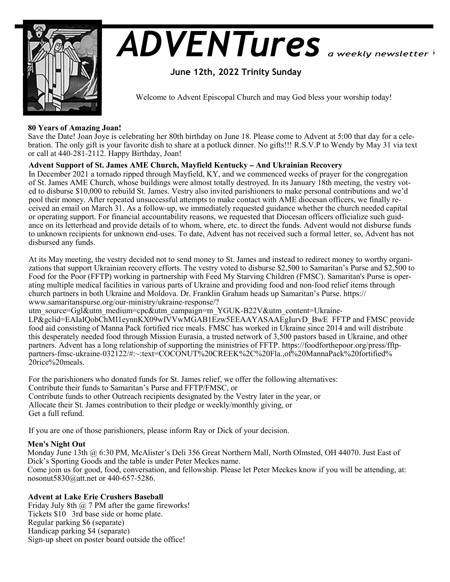

# *ADVENTures*

## **June 12th, 2022 Trinity Sunday**

Welcome to Advent Episcopal Church and may God bless your worship today!

## **80 Years of Amazing Joan!**

Save the Date! Joan Joye is celebrating her 80th birthday on June 18. Please come to Advent at 5:00 that day for a celebration. The only gift is your favorite dish to share at a potluck dinner. No gifts!!! R.S.V.P to Wendy by May 31 via text or call at 440-281-2112. Happy Birthday, Joan!

## **Advent Support of St. James AME Church, Mayfield Kentucky – And Ukrainian Recovery**

In December 2021 a tornado ripped through Mayfield, KY, and we commenced weeks of prayer for the congregation of St. James AME Church, whose buildings were almost totally destroyed. In its January 18th meeting, the vestry voted to disburse \$10,000 to rebuild St. James. Vestry also invited parishioners to make personal contributions and we'd pool their money. After repeated unsuccessful attempts to make contact with AME diocesan officers, we finally received an email on March 31. As a follow-up, we immediately requested guidance whether the church needed capital or operating support. For financial accountability reasons, we requested that Diocesan officers officialize such guidance on its letterhead and provide details of to whom, where, etc. to direct the funds. Advent would not disburse funds to unknown recipients for unknown end-uses. To date, Advent has not received such a formal letter, so, Advent has not disbursed any funds.

At its May meeting, the vestry decided not to send money to St. James and instead to redirect money to worthy organizations that support Ukrainian recovery efforts. The vestry voted to disburse \$2,500 to Samaritan's Purse and \$2,500 to Food for the Poor (FFTP) working in partnership with Feed My Starving Children (FMSC). Samaritan's Purse is operating multiple medical facilities in various parts of Ukraine and providing food and non-food relief items through church partners in both Ukraine and Moldova. Dr. Franklin Graham heads up Samaritan's Purse. https:// www.samaritanspurse.org/our-ministry/ukraine-response/?

utm\_source=Ggl&utm\_medium=cpc&utm\_campaign=m\_YGUK-B22V&utm\_content=Ukraine-

 $LP\&$ gclid=EAIaIQobChMI1eynnKX09wIVVwMGAB1Ezw5EEAAYASAAEgIurvD\_BwE FFTP and FMSC provide food aid consisting of Manna Pack fortified rice meals. FMSC has worked in Ukraine since 2014 and will distribute this desperately needed food through Mission Eurasia, a trusted network of 3,500 pastors based in Ukraine, and other partners. Advent has a long relationship of supporting the ministries of FFTP. https://foodforthepoor.org/press/fftppartners-fmsc-ukraine-032122/#:~:text=COCONUT%20CREEK%2C%20Fla.,of%20MannaPack%20fortified% 20rice%20meals.

For the parishioners who donated funds for St. James relief, we offer the following alternatives: Contribute their funds to Samaritan's Purse and FFTP/FMSC, or Contribute funds to other Outreach recipients designated by the Vestry later in the year, or Allocate their St. James contribution to their pledge or weekly/monthly giving, or Get a full refund.

If you are one of those parishioners, please inform Ray or Dick of your decision.

## **Men's Night Out**

Monday June 13th @ 6:30 PM, McAlister's Deli 356 Great Northern Mall, North Olmsted, OH 44070. Just East of Dick's Sporting Goods and the table is under Peter Meckes name. Come join us for good, food, conversation, and fellowship. Please let Peter Meckes know if you will be attending, at: nosonut5830@att.net or 440-657-5286.

**Advent at Lake Erie Crushers Baseball**

Friday July 8th  $\omega$  7 PM after the game fireworks! Tickets \$10 3rd base side or home plate. Regular parking \$6 (separate) Handicap parking \$4 (separate) Sign-up sheet on poster board outside the office!